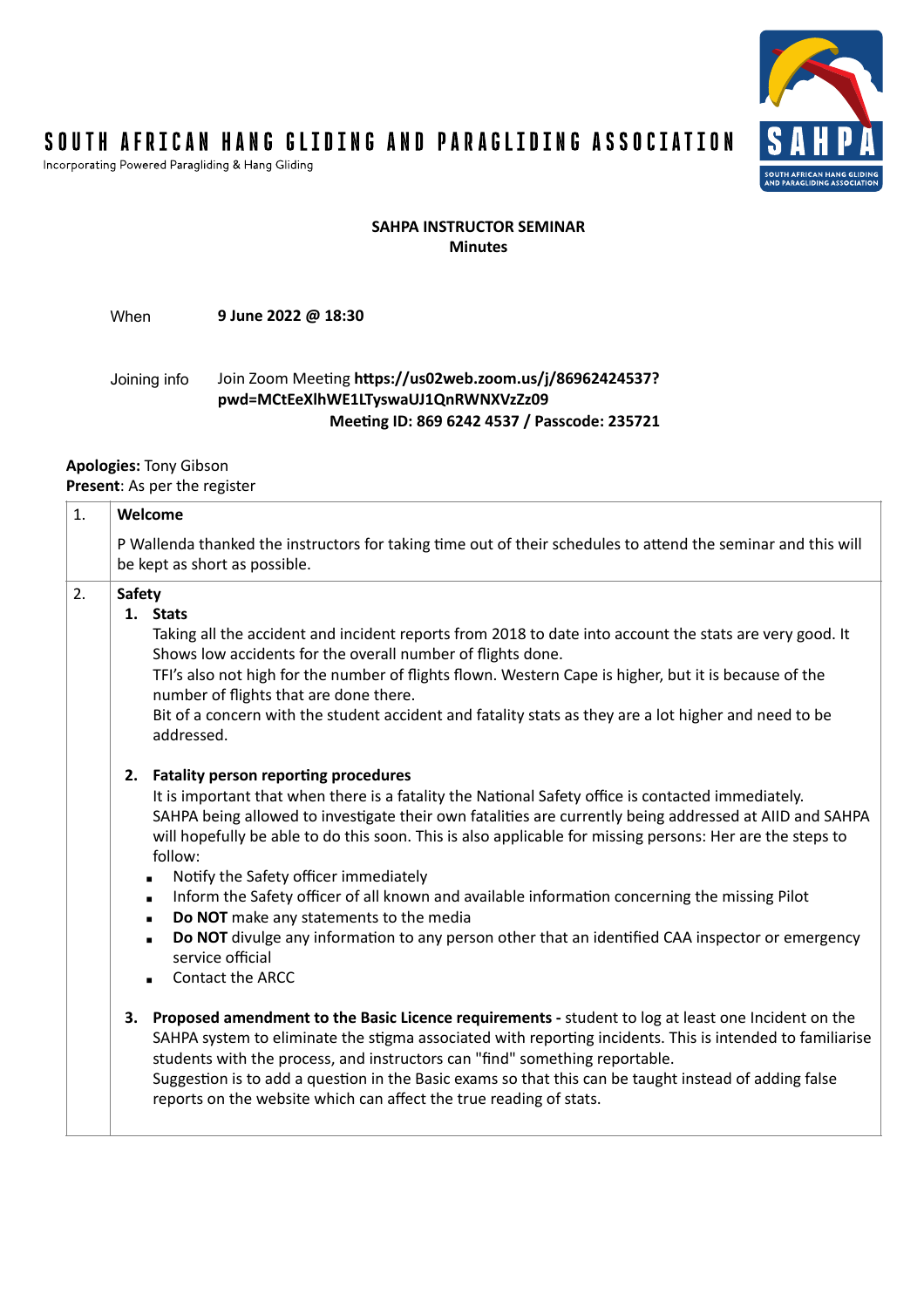

### SOUTH AFRICAN HANG GLIDING AND PARAGLIDING ASSOCIATION

Incorporating Powered Paragliding & Hang Gliding

#### **SAHPA INSTRUCTOR SEMINAR Minutes**

When **9 June 2022 @ 18:30**

#### Joining info Join Zoom Meeting **https://us02web.zoom.us/j/86962424537? pwd=MCtEeXlhWE1LTyswaUJ1QnRWNXVzZz09 Meeting ID: 869 6242 4537 / Passcode: 235721**

### **Apologies:** Tony Gibson

**Present**: As per the register

| 1. | Welcome                                                                                                                                                                                                                                                                                                                                                                                                                                                                                                                                                                                                                                                                                                                                       |  |  |  |
|----|-----------------------------------------------------------------------------------------------------------------------------------------------------------------------------------------------------------------------------------------------------------------------------------------------------------------------------------------------------------------------------------------------------------------------------------------------------------------------------------------------------------------------------------------------------------------------------------------------------------------------------------------------------------------------------------------------------------------------------------------------|--|--|--|
|    | P Wallenda thanked the instructors for taking time out of their schedules to attend the seminar and this will<br>be kept as short as possible.                                                                                                                                                                                                                                                                                                                                                                                                                                                                                                                                                                                                |  |  |  |
| 2. | <b>Safety</b><br>1. Stats<br>Taking all the accident and incident reports from 2018 to date into account the stats are very good. It<br>Shows low accidents for the overall number of flights done.<br>TFI's also not high for the number of flights flown. Western Cape is higher, but it is because of the<br>number of flights that are done there.<br>Bit of a concern with the student accident and fatality stats as they are a lot higher and need to be<br>addressed.                                                                                                                                                                                                                                                                 |  |  |  |
|    | <b>Fatality person reporting procedures</b><br>2.<br>It is important that when there is a fatality the National Safety office is contacted immediately.<br>SAHPA being allowed to investigate their own fatalities are currently being addressed at AIID and SAHPA<br>will hopefully be able to do this soon. This is also applicable for missing persons: Her are the steps to<br>follow:<br>Notify the Safety officer immediately<br>Inform the Safety officer of all known and available information concerning the missing Pilot<br>$\blacksquare$<br>Do NOT make any statements to the media<br>Do NOT divulge any information to any person other that an identified CAA inspector or emergency<br>service official<br>Contact the ARCC |  |  |  |
|    | Proposed amendment to the Basic Licence requirements - student to log at least one Incident on the<br>3.<br>SAHPA system to eliminate the stigma associated with reporting incidents. This is intended to familiarise<br>students with the process, and instructors can "find" something reportable.<br>Suggestion is to add a question in the Basic exams so that this can be taught instead of adding false<br>reports on the website which can affect the true reading of stats.                                                                                                                                                                                                                                                           |  |  |  |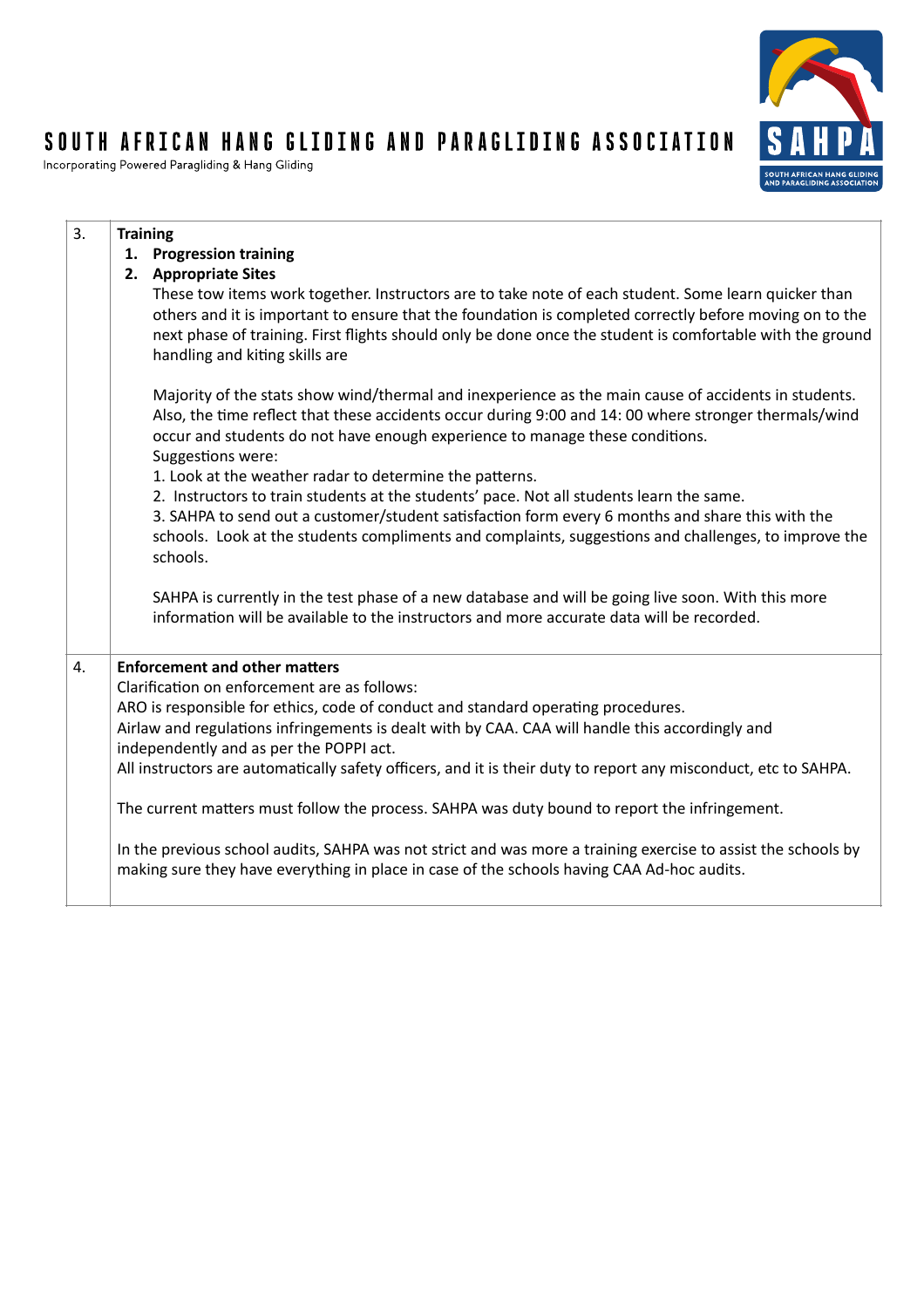# S A Н **SOUTH AFRICAN H<br>AND PARAGLIDING**

## SOUTH AFRICAN HANG GLIDING AND PARAGLIDING ASSOCIATION

Incorporating Powered Paragliding & Hang Gliding

| 3. | <b>Training</b>                                                                                                                                                                                                                                                                                                                                                |
|----|----------------------------------------------------------------------------------------------------------------------------------------------------------------------------------------------------------------------------------------------------------------------------------------------------------------------------------------------------------------|
|    | 1. Progression training                                                                                                                                                                                                                                                                                                                                        |
|    | 2. Appropriate Sites                                                                                                                                                                                                                                                                                                                                           |
|    | These tow items work together. Instructors are to take note of each student. Some learn quicker than<br>others and it is important to ensure that the foundation is completed correctly before moving on to the<br>next phase of training. First flights should only be done once the student is comfortable with the ground<br>handling and kiting skills are |
|    | Majority of the stats show wind/thermal and inexperience as the main cause of accidents in students.<br>Also, the time reflect that these accidents occur during 9:00 and 14: 00 where stronger thermals/wind<br>occur and students do not have enough experience to manage these conditions.<br>Suggestions were:                                             |
|    | 1. Look at the weather radar to determine the patterns.                                                                                                                                                                                                                                                                                                        |
|    | 2. Instructors to train students at the students' pace. Not all students learn the same.<br>3. SAHPA to send out a customer/student satisfaction form every 6 months and share this with the<br>schools. Look at the students compliments and complaints, suggestions and challenges, to improve the<br>schools.                                               |
|    | SAHPA is currently in the test phase of a new database and will be going live soon. With this more<br>information will be available to the instructors and more accurate data will be recorded.                                                                                                                                                                |
| 4. | <b>Enforcement and other matters</b>                                                                                                                                                                                                                                                                                                                           |
|    | Clarification on enforcement are as follows:                                                                                                                                                                                                                                                                                                                   |
|    | ARO is responsible for ethics, code of conduct and standard operating procedures.                                                                                                                                                                                                                                                                              |
|    | Airlaw and regulations infringements is dealt with by CAA. CAA will handle this accordingly and<br>independently and as per the POPPI act.                                                                                                                                                                                                                     |
|    | All instructors are automatically safety officers, and it is their duty to report any misconduct, etc to SAHPA.                                                                                                                                                                                                                                                |
|    | The current matters must follow the process. SAHPA was duty bound to report the infringement.                                                                                                                                                                                                                                                                  |
|    | In the previous school audits, SAHPA was not strict and was more a training exercise to assist the schools by<br>making sure they have everything in place in case of the schools having CAA Ad-hoc audits.                                                                                                                                                    |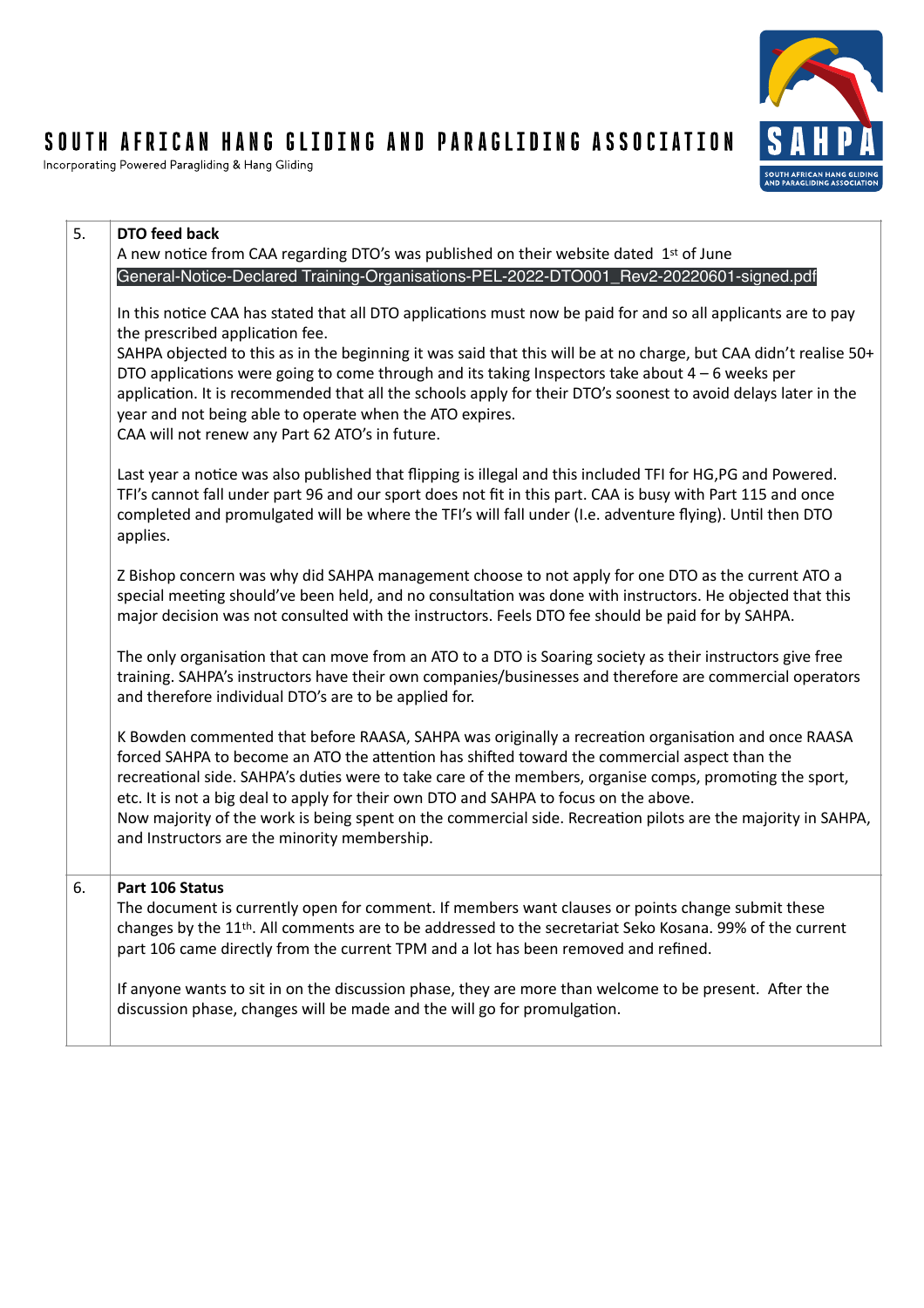# S A Ţ .<br>SOUTH AFRICAN <mark>H</mark><br>AND PARAGLIDING

# SOUTH AFRICAN HANG GLIDING AND PARAGLIDING ASSOCIATION

Incorporating Powered Paragliding & Hang Gliding

| 5. | DTO feed back<br>A new notice from CAA regarding DTO's was published on their website dated 1st of June                                                                                                                                                                                                                                                                                                                                                                                                                                                                   |
|----|---------------------------------------------------------------------------------------------------------------------------------------------------------------------------------------------------------------------------------------------------------------------------------------------------------------------------------------------------------------------------------------------------------------------------------------------------------------------------------------------------------------------------------------------------------------------------|
|    | General-Notice-Declared Training-Organisations-PEL-2022-DTO001_Rev2-20220601-signed.pdf                                                                                                                                                                                                                                                                                                                                                                                                                                                                                   |
|    | In this notice CAA has stated that all DTO applications must now be paid for and so all applicants are to pay<br>the prescribed application fee.                                                                                                                                                                                                                                                                                                                                                                                                                          |
|    | SAHPA objected to this as in the beginning it was said that this will be at no charge, but CAA didn't realise 50+<br>DTO applications were going to come through and its taking Inspectors take about $4-6$ weeks per<br>application. It is recommended that all the schools apply for their DTO's soonest to avoid delays later in the<br>year and not being able to operate when the ATO expires.<br>CAA will not renew any Part 62 ATO's in future.                                                                                                                    |
|    | Last year a notice was also published that flipping is illegal and this included TFI for HG,PG and Powered.<br>TFI's cannot fall under part 96 and our sport does not fit in this part. CAA is busy with Part 115 and once<br>completed and promulgated will be where the TFI's will fall under (I.e. adventure flying). Until then DTO<br>applies.                                                                                                                                                                                                                       |
|    | Z Bishop concern was why did SAHPA management choose to not apply for one DTO as the current ATO a<br>special meeting should've been held, and no consultation was done with instructors. He objected that this<br>major decision was not consulted with the instructors. Feels DTO fee should be paid for by SAHPA.                                                                                                                                                                                                                                                      |
|    | The only organisation that can move from an ATO to a DTO is Soaring society as their instructors give free<br>training. SAHPA's instructors have their own companies/businesses and therefore are commercial operators<br>and therefore individual DTO's are to be applied for.                                                                                                                                                                                                                                                                                           |
|    | K Bowden commented that before RAASA, SAHPA was originally a recreation organisation and once RAASA<br>forced SAHPA to become an ATO the attention has shifted toward the commercial aspect than the<br>recreational side. SAHPA's duties were to take care of the members, organise comps, promoting the sport,<br>etc. It is not a big deal to apply for their own DTO and SAHPA to focus on the above.<br>Now majority of the work is being spent on the commercial side. Recreation pilots are the majority in SAHPA,<br>and Instructors are the minority membership. |
| 6. | Part 106 Status                                                                                                                                                                                                                                                                                                                                                                                                                                                                                                                                                           |
|    | The document is currently open for comment. If members want clauses or points change submit these<br>changes by the 11 <sup>th</sup> . All comments are to be addressed to the secretariat Seko Kosana. 99% of the current<br>part 106 came directly from the current TPM and a lot has been removed and refined.                                                                                                                                                                                                                                                         |
|    | If anyone wants to sit in on the discussion phase, they are more than welcome to be present. After the<br>discussion phase, changes will be made and the will go for promulgation.                                                                                                                                                                                                                                                                                                                                                                                        |